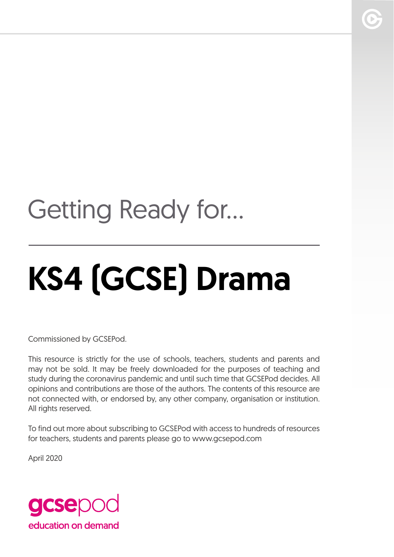## Getting Ready for...

# KS4 (GCSE) Drama

Commissioned by GCSEPod.

This resource is strictly for the use of schools, teachers, students and parents and may not be sold. It may be freely downloaded for the purposes of teaching and study during the coronavirus pandemic and until such time that GCSEPod decides. All opinions and contributions are those of the authors. The contents of this resource are not connected with, or endorsed by, any other company, organisation or institution. All rights reserved.

To find out more about subscribing to GCSEPod with access to hundreds of resources for teachers, students and parents please go to www.gcsepod.com

April 2020

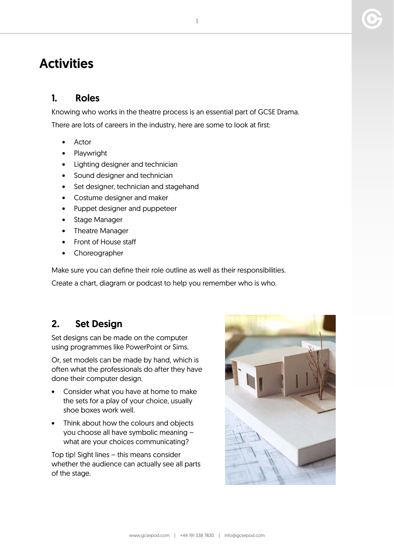### **Activities**

#### 1. Roles

Knowing who works in the theatre process is an essential part of GCSE Drama. There are lots of careers in the industry, here are some to look at first:

- Actor
- Playwright
- Lighting designer and technician
- Sound designer and technician
- Set designer, technician and stagehand
- Costume designer and maker
- Puppet designer and puppeteer
- Stage Manager
- Theatre Manager
- Front of House staff
- Choreographer

Make sure you can define their role outline as well as their responsibilities.

Create a chart, diagram or podcast to help you remember who is who.

#### 2. Set Design

Set designs can be made on the computer using programmes like PowerPoint or Sims.

Or, set models can be made by hand, which is often what the professionals do after they have done their computer design.

- Consider what you have at home to make the sets for a play of your choice, usually shoe boxes work well.
- Think about how the colours and objects you choose all have symbolic meaning – what are your choices communicating?

Top tip! Sight lines – this means consider whether the audience can actually see all parts of the stage.

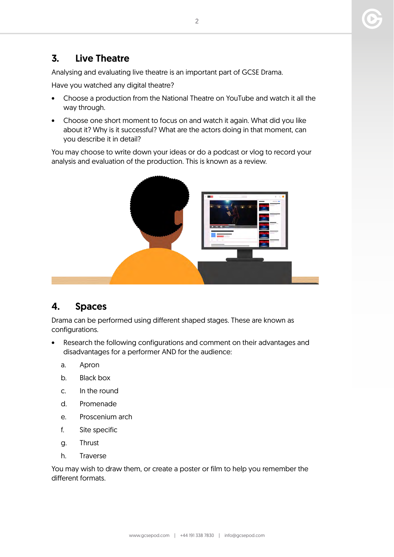#### 3. Live Theatre

Analysing and evaluating live theatre is an important part of GCSE Drama.

Have you watched any digital theatre?

- Choose a production from the National Theatre on YouTube and watch it all the way through.
- Choose one short moment to focus on and watch it again. What did you like about it? Why is it successful? What are the actors doing in that moment, can you describe it in detail?

You may choose to write down your ideas or do a podcast or vlog to record your analysis and evaluation of the production. This is known as a review.



#### 4. Spaces

Drama can be performed using different shaped stages. These are known as configurations.

- Research the following configurations and comment on their advantages and disadvantages for a performer AND for the audience:
	- a. Apron
	- b. Black box
	- c. In the round
	- d. Promenade
	- e. Proscenium arch
	- f. Site specific
	- g. Thrust
	- h. Traverse

You may wish to draw them, or create a poster or film to help you remember the different formats.

2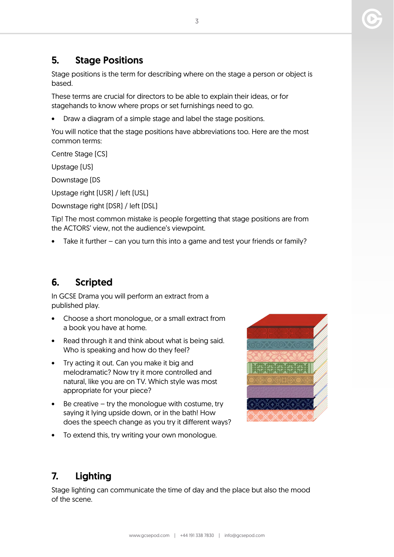#### 5. Stage Positions

Stage positions is the term for describing where on the stage a person or object is based.

These terms are crucial for directors to be able to explain their ideas, or for stagehands to know where props or set furnishings need to go.

• Draw a diagram of a simple stage and label the stage positions.

You will notice that the stage positions have abbreviations too. Here are the most common terms:

Centre Stage (CS)

Upstage (US)

Downstage (DS

Upstage right (USR) / left (USL)

Downstage right (DSR) / left (DSL)

Tip! The most common mistake is people forgetting that stage positions are from the ACTORS' view, not the audience's viewpoint.

Take it further – can you turn this into a game and test your friends or family?

#### 6. Scripted

In GCSE Drama you will perform an extract from a published play.

- Choose a short monologue, or a small extract from a book you have at home.
- Read through it and think about what is being said. Who is speaking and how do they feel?
- Try acting it out. Can you make it big and melodramatic? Now try it more controlled and natural, like you are on TV. Which style was most appropriate for your piece?
- $\bullet$  Be creative try the monologue with costume, try saying it lying upside down, or in the bath! How does the speech change as you try it different ways?
- To extend this, try writing your own monologue.



#### 7. Lighting

Stage lighting can communicate the time of day and the place but also the mood of the scene.

3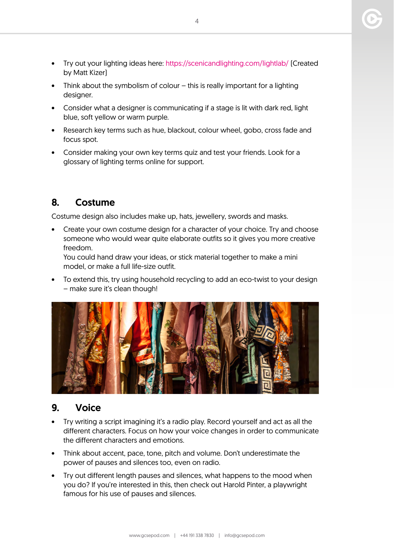- Try out your lighting ideas here: <https://scenicandlighting.com/lightlab/> (Created by Matt Kizer)
- Think about the symbolism of colour this is really important for a lighting designer.
- Consider what a designer is communicating if a stage is lit with dark red, light blue, soft yellow or warm purple.
- Research key terms such as hue, blackout, colour wheel, gobo, cross fade and focus spot.
- Consider making your own key terms quiz and test your friends. Look for a glossary of lighting terms online for support.

#### 8. Costume

Costume design also includes make up, hats, jewellery, swords and masks.

• Create your own costume design for a character of your choice. Try and choose someone who would wear quite elaborate outfits so it gives you more creative freedom.

You could hand draw your ideas, or stick material together to make a mini model, or make a full life-size outfit.

• To extend this, try using household recycling to add an eco-twist to your design – make sure it's clean though!



#### 9. Voice

- Try writing a script imagining it's a radio play. Record yourself and act as all the different characters. Focus on how your voice changes in order to communicate the different characters and emotions.
- Think about accent, pace, tone, pitch and volume. Don't underestimate the power of pauses and silences too, even on radio.
- Try out different length pauses and silences, what happens to the mood when you do? If you're interested in this, then check out Harold Pinter, a playwright famous for his use of pauses and silences.